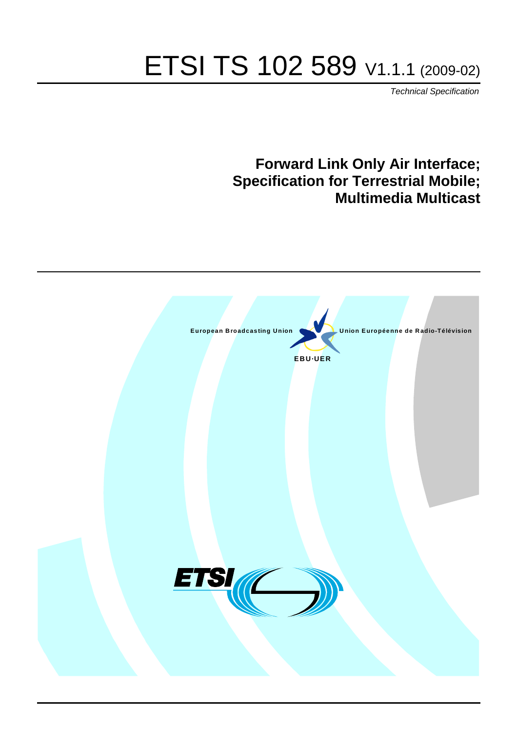# ETSI TS 102 589 V1.1.1 (2009-02)

*Technical Specification*

# **Forward Link Only Air Interface; Specification for Terrestrial Mobile; Multimedia Multicast**

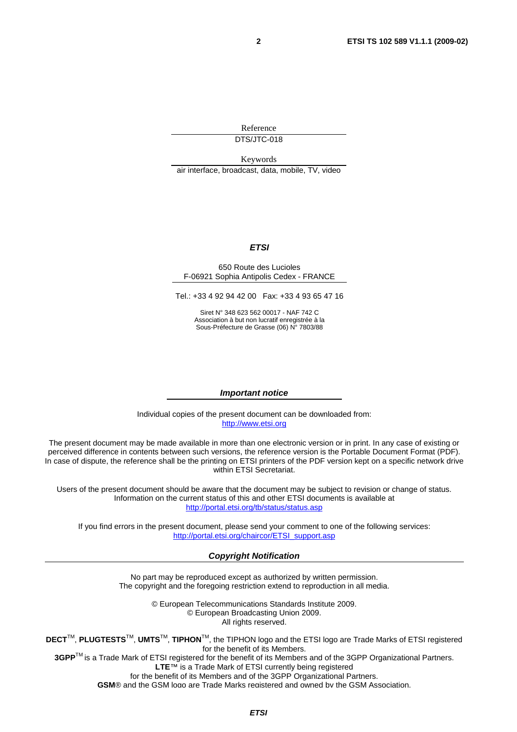Reference DTS/JTC-018

Keywords

air interface, broadcast, data, mobile, TV, video

### *ETSI*

#### 650 Route des Lucioles F-06921 Sophia Antipolis Cedex - FRANCE

Tel.: +33 4 92 94 42 00 Fax: +33 4 93 65 47 16

Siret N° 348 623 562 00017 - NAF 742 C Association à but non lucratif enregistrée à la Sous-Préfecture de Grasse (06) N° 7803/88

#### *Important notice*

Individual copies of the present document can be downloaded from: [http://www.etsi.org](http://www.etsi.org/)

The present document may be made available in more than one electronic version or in print. In any case of existing or perceived difference in contents between such versions, the reference version is the Portable Document Format (PDF). In case of dispute, the reference shall be the printing on ETSI printers of the PDF version kept on a specific network drive within ETSI Secretariat.

Users of the present document should be aware that the document may be subject to revision or change of status. Information on the current status of this and other ETSI documents is available at <http://portal.etsi.org/tb/status/status.asp>

If you find errors in the present document, please send your comment to one of the following services: [http://portal.etsi.org/chaircor/ETSI\\_support.asp](http://portal.etsi.org/chaircor/ETSI_support.asp)

### *Copyright Notification*

No part may be reproduced except as authorized by written permission. The copyright and the foregoing restriction extend to reproduction in all media.

> © European Telecommunications Standards Institute 2009. © European Broadcasting Union 2009. All rights reserved.

**DECT**TM, **PLUGTESTS**TM, **UMTS**TM, **TIPHON**TM, the TIPHON logo and the ETSI logo are Trade Marks of ETSI registered for the benefit of its Members. **3GPP**TM is a Trade Mark of ETSI registered for the benefit of its Members and of the 3GPP Organizational Partners.

**LTE**™ is a Trade Mark of ETSI currently being registered

for the benefit of its Members and of the 3GPP Organizational Partners.

**GSM**® and the GSM logo are Trade Marks registered and owned by the GSM Association.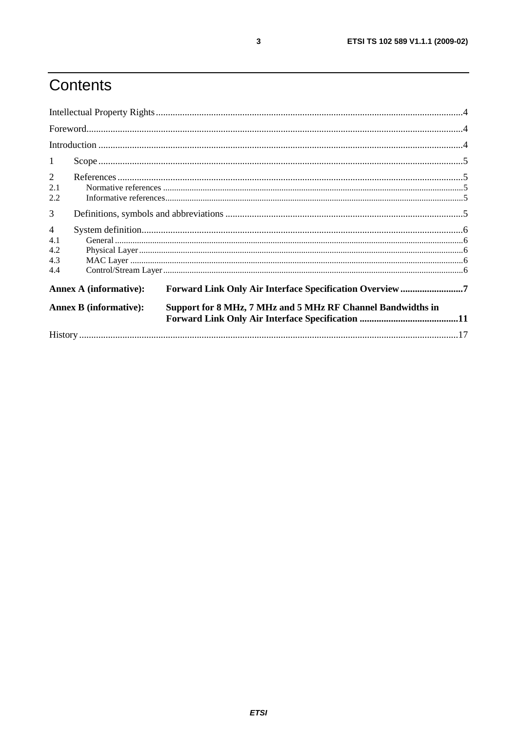# Contents

| 1              |                               |                                                             |  |
|----------------|-------------------------------|-------------------------------------------------------------|--|
| $\overline{2}$ |                               |                                                             |  |
| 2.1            |                               |                                                             |  |
| 2.2            |                               |                                                             |  |
| 3              |                               |                                                             |  |
| $\overline{4}$ |                               |                                                             |  |
| 4.1            |                               |                                                             |  |
| 4.2            |                               |                                                             |  |
| 4.3            |                               |                                                             |  |
| 4.4            |                               |                                                             |  |
|                | <b>Annex A (informative):</b> | Forward Link Only Air Interface Specification Overview 7    |  |
|                | <b>Annex B (informative):</b> | Support for 8 MHz, 7 MHz and 5 MHz RF Channel Bandwidths in |  |
|                |                               |                                                             |  |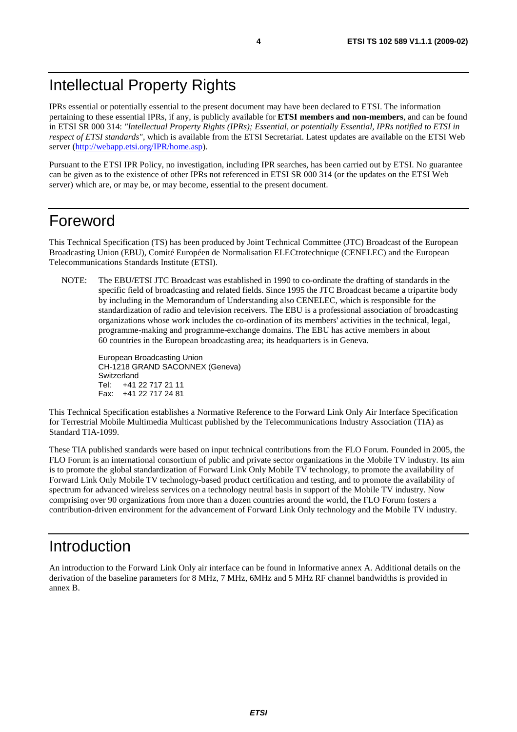IPRs essential or potentially essential to the present document may have been declared to ETSI. The information pertaining to these essential IPRs, if any, is publicly available for **ETSI members and non-members**, and can be found in ETSI SR 000 314: *"Intellectual Property Rights (IPRs); Essential, or potentially Essential, IPRs notified to ETSI in respect of ETSI standards"*, which is available from the ETSI Secretariat. Latest updates are available on the ETSI Web server [\(http://webapp.etsi.org/IPR/home.asp](http://webapp.etsi.org/IPR/home.asp)).

Pursuant to the ETSI IPR Policy, no investigation, including IPR searches, has been carried out by ETSI. No guarantee can be given as to the existence of other IPRs not referenced in ETSI SR 000 314 (or the updates on the ETSI Web server) which are, or may be, or may become, essential to the present document.

### Foreword

This Technical Specification (TS) has been produced by Joint Technical Committee (JTC) Broadcast of the European Broadcasting Union (EBU), Comité Européen de Normalisation ELECtrotechnique (CENELEC) and the European Telecommunications Standards Institute (ETSI).

NOTE: The EBU/ETSI JTC Broadcast was established in 1990 to co-ordinate the drafting of standards in the specific field of broadcasting and related fields. Since 1995 the JTC Broadcast became a tripartite body by including in the Memorandum of Understanding also CENELEC, which is responsible for the standardization of radio and television receivers. The EBU is a professional association of broadcasting organizations whose work includes the co-ordination of its members' activities in the technical, legal, programme-making and programme-exchange domains. The EBU has active members in about 60 countries in the European broadcasting area; its headquarters is in Geneva.

European Broadcasting Union CH-1218 GRAND SACONNEX (Geneva) Switzerland Tel: +41 22 717 21 11 Fax: +41 22 717 24 81

This Technical Specification establishes a Normative Reference to the Forward Link Only Air Interface Specification for Terrestrial Mobile Multimedia Multicast published by the Telecommunications Industry Association (TIA) as Standard TIA-1099.

These TIA published standards were based on input technical contributions from the FLO Forum. Founded in 2005, the FLO Forum is an international consortium of public and private sector organizations in the Mobile TV industry. Its aim is to promote the global standardization of Forward Link Only Mobile TV technology, to promote the availability of Forward Link Only Mobile TV technology-based product certification and testing, and to promote the availability of spectrum for advanced wireless services on a technology neutral basis in support of the Mobile TV industry. Now comprising over 90 organizations from more than a dozen countries around the world, the FLO Forum fosters a contribution-driven environment for the advancement of Forward Link Only technology and the Mobile TV industry.

# Introduction

An introduction to the Forward Link Only air interface can be found in Informative annex A. Additional details on the derivation of the baseline parameters for 8 MHz, 7 MHz, 6MHz and 5 MHz RF channel bandwidths is provided in annex B.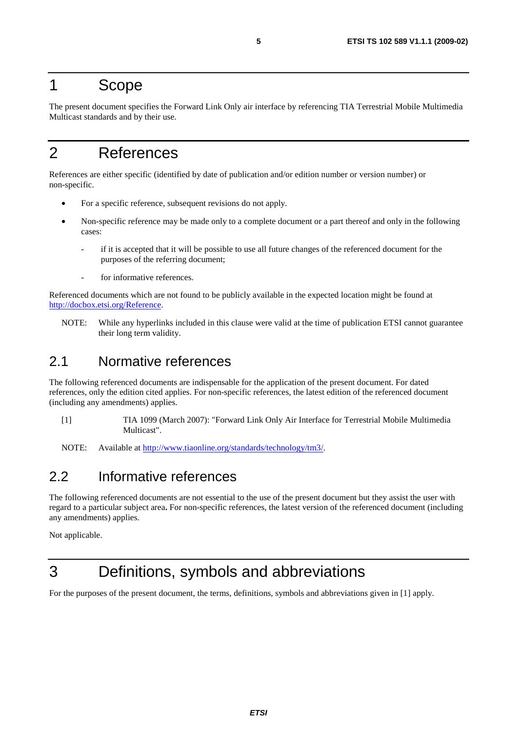### 1 Scope

The present document specifies the Forward Link Only air interface by referencing TIA Terrestrial Mobile Multimedia Multicast standards and by their use.

# 2 References

References are either specific (identified by date of publication and/or edition number or version number) or non-specific.

- For a specific reference, subsequent revisions do not apply.
- Non-specific reference may be made only to a complete document or a part thereof and only in the following cases:
	- if it is accepted that it will be possible to use all future changes of the referenced document for the purposes of the referring document;
	- for informative references.

Referenced documents which are not found to be publicly available in the expected location might be found at <http://docbox.etsi.org/Reference>.

NOTE: While any hyperlinks included in this clause were valid at the time of publication ETSI cannot guarantee their long term validity.

### 2.1 Normative references

The following referenced documents are indispensable for the application of the present document. For dated references, only the edition cited applies. For non-specific references, the latest edition of the referenced document (including any amendments) applies.

[1] TIA 1099 (March 2007): "Forward Link Only Air Interface for Terrestrial Mobile Multimedia Multicast".

NOTE: Available at<http://www.tiaonline.org/standards/technology/tm3/>.

### 2.2 Informative references

The following referenced documents are not essential to the use of the present document but they assist the user with regard to a particular subject area**.** For non-specific references, the latest version of the referenced document (including any amendments) applies.

Not applicable.

## 3 Definitions, symbols and abbreviations

For the purposes of the present document, the terms, definitions, symbols and abbreviations given in [1] apply.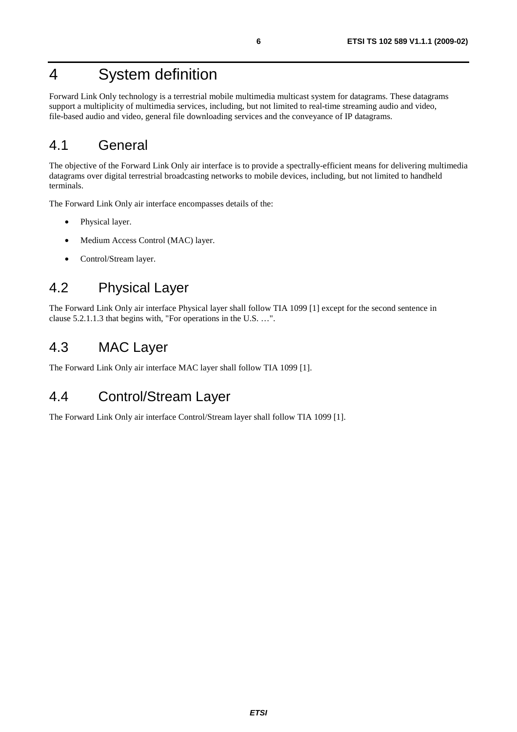# 4 System definition

Forward Link Only technology is a terrestrial mobile multimedia multicast system for datagrams. These datagrams support a multiplicity of multimedia services, including, but not limited to real-time streaming audio and video, file-based audio and video, general file downloading services and the conveyance of IP datagrams.

### 4.1 General

The objective of the Forward Link Only air interface is to provide a spectrally-efficient means for delivering multimedia datagrams over digital terrestrial broadcasting networks to mobile devices, including, but not limited to handheld terminals.

The Forward Link Only air interface encompasses details of the:

- Physical layer.
- Medium Access Control (MAC) layer.
- Control/Stream layer.

### 4.2 Physical Layer

The Forward Link Only air interface Physical layer shall follow TIA 1099 [1] except for the second sentence in clause 5.2.1.1.3 that begins with, "For operations in the U.S. …".

### 4.3 MAC Layer

The Forward Link Only air interface MAC layer shall follow TIA 1099 [1].

### 4.4 Control/Stream Layer

The Forward Link Only air interface Control/Stream layer shall follow TIA 1099 [1].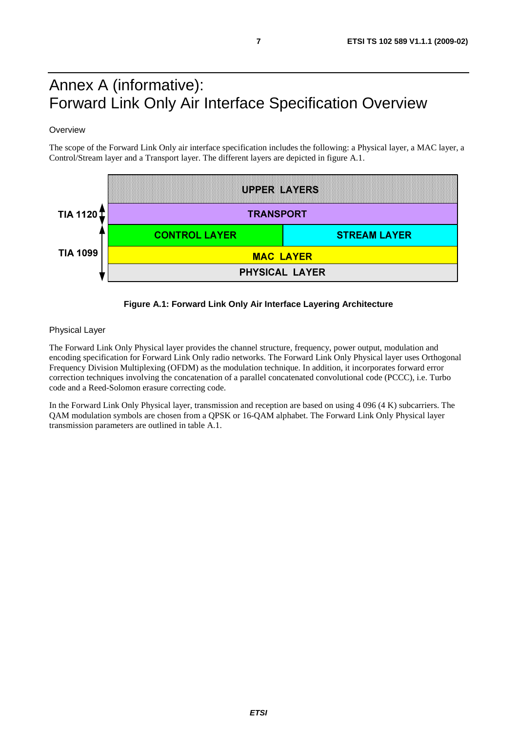# Annex A (informative): Forward Link Only Air Interface Specification Overview

### **Overview**

The scope of the Forward Link Only air interface specification includes the following: a Physical layer, a MAC layer, a Control/Stream layer and a Transport layer. The different layers are depicted in figure A.1.



### **Figure A.1: Forward Link Only Air Interface Layering Architecture**

#### Physical Layer

The Forward Link Only Physical layer provides the channel structure, frequency, power output, modulation and encoding specification for Forward Link Only radio networks. The Forward Link Only Physical layer uses Orthogonal Frequency Division Multiplexing (OFDM) as the modulation technique. In addition, it incorporates forward error correction techniques involving the concatenation of a parallel concatenated convolutional code (PCCC), i.e. Turbo code and a Reed-Solomon erasure correcting code.

In the Forward Link Only Physical layer, transmission and reception are based on using 4 096 (4 K) subcarriers. The QAM modulation symbols are chosen from a QPSK or 16-QAM alphabet. The Forward Link Only Physical layer transmission parameters are outlined in table A.1.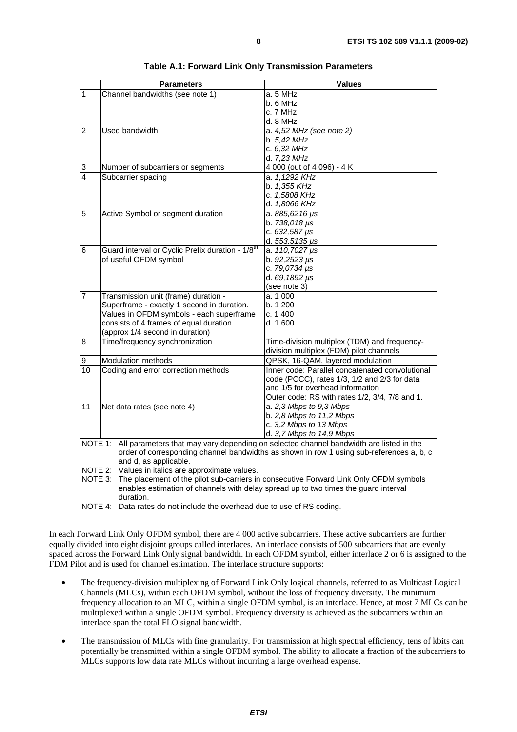|                                                                                                                   | <b>Parameters</b>                                                                              | <b>Values</b>                                                                         |  |  |  |
|-------------------------------------------------------------------------------------------------------------------|------------------------------------------------------------------------------------------------|---------------------------------------------------------------------------------------|--|--|--|
| $\overline{1}$                                                                                                    | Channel bandwidths (see note 1)                                                                | a. 5 MHz                                                                              |  |  |  |
|                                                                                                                   |                                                                                                | b. 6 MHz                                                                              |  |  |  |
|                                                                                                                   |                                                                                                | c. 7 MHz                                                                              |  |  |  |
|                                                                                                                   |                                                                                                | d. 8 MHz                                                                              |  |  |  |
| $\overline{2}$                                                                                                    | <b>Used bandwidth</b>                                                                          | a. 4,52 MHz (see note 2)                                                              |  |  |  |
|                                                                                                                   |                                                                                                | b. 5,42 MHz                                                                           |  |  |  |
|                                                                                                                   |                                                                                                | c. 6,32 MHz                                                                           |  |  |  |
|                                                                                                                   |                                                                                                | d. 7,23 MHz                                                                           |  |  |  |
| 3                                                                                                                 | Number of subcarriers or segments                                                              | 4 000 (out of 4 096) - 4 K                                                            |  |  |  |
| $\overline{4}$                                                                                                    | Subcarrier spacing                                                                             | a. 1,1292 KHz                                                                         |  |  |  |
|                                                                                                                   |                                                                                                | b. 1,355 KHz                                                                          |  |  |  |
|                                                                                                                   |                                                                                                | c. 1,5808 KHz                                                                         |  |  |  |
|                                                                                                                   |                                                                                                | d. 1,8066 KHz                                                                         |  |  |  |
| 5                                                                                                                 | Active Symbol or segment duration                                                              | a. 885,6216 µs<br>b. 738,018 µs                                                       |  |  |  |
|                                                                                                                   |                                                                                                | c. $632,587 \,\mu s$                                                                  |  |  |  |
|                                                                                                                   |                                                                                                | d. $553,5135 \,\mu s$                                                                 |  |  |  |
| $\overline{6}$                                                                                                    | Guard interval or Cyclic Prefix duration - 1/8 <sup>th</sup>                                   | a. 110,7027 µs                                                                        |  |  |  |
|                                                                                                                   | of useful OFDM symbol                                                                          | b. 92,2523 µs                                                                         |  |  |  |
|                                                                                                                   |                                                                                                | c. 79,0734 µs                                                                         |  |  |  |
|                                                                                                                   |                                                                                                | d. $69,1892 \mu s$                                                                    |  |  |  |
|                                                                                                                   |                                                                                                | (see note 3)                                                                          |  |  |  |
| $\overline{7}$                                                                                                    | Transmission unit (frame) duration -                                                           | a. 1 000                                                                              |  |  |  |
|                                                                                                                   | Superframe - exactly 1 second in duration.                                                     | b. 1 200                                                                              |  |  |  |
|                                                                                                                   | Values in OFDM symbols - each superframe                                                       | c. 1400                                                                               |  |  |  |
|                                                                                                                   | consists of 4 frames of equal duration                                                         | d. 1600                                                                               |  |  |  |
|                                                                                                                   | (approx 1/4 second in duration)                                                                |                                                                                       |  |  |  |
| 8                                                                                                                 | Time/frequency synchronization                                                                 | Time-division multiplex (TDM) and frequency-                                          |  |  |  |
|                                                                                                                   |                                                                                                | division multiplex (FDM) pilot channels                                               |  |  |  |
| 9                                                                                                                 | Modulation methods                                                                             | QPSK, 16-QAM, layered modulation                                                      |  |  |  |
| 10                                                                                                                | Coding and error correction methods                                                            | Inner code: Parallel concatenated convolutional                                       |  |  |  |
|                                                                                                                   |                                                                                                | code (PCCC), rates 1/3, 1/2 and 2/3 for data                                          |  |  |  |
|                                                                                                                   |                                                                                                | and 1/5 for overhead information                                                      |  |  |  |
|                                                                                                                   |                                                                                                | Outer code: RS with rates 1/2, 3/4, 7/8 and 1.                                        |  |  |  |
| 11                                                                                                                | Net data rates (see note 4)                                                                    | a. 2,3 Mbps to 9,3 Mbps                                                               |  |  |  |
|                                                                                                                   |                                                                                                | b. $2,8$ Mbps to $11,2$ Mbps                                                          |  |  |  |
|                                                                                                                   |                                                                                                | c. 3,2 Mbps to 13 Mbps                                                                |  |  |  |
|                                                                                                                   |                                                                                                | d. 3,7 Mbps to 14,9 Mbps                                                              |  |  |  |
|                                                                                                                   | NOTE 1: All parameters that may vary depending on selected channel bandwidth are listed in the |                                                                                       |  |  |  |
| order of corresponding channel bandwidths as shown in row 1 using sub-references a, b, c<br>and d, as applicable. |                                                                                                |                                                                                       |  |  |  |
|                                                                                                                   | NOTE 2: Values in italics are approximate values.                                              |                                                                                       |  |  |  |
| NOTE 3:                                                                                                           |                                                                                                | The placement of the pilot sub-carriers in consecutive Forward Link Only OFDM symbols |  |  |  |
|                                                                                                                   | enables estimation of channels with delay spread up to two times the quard interval            |                                                                                       |  |  |  |
|                                                                                                                   | duration.                                                                                      |                                                                                       |  |  |  |
| NOTE 4:                                                                                                           | Data rates do not include the overhead due to use of RS coding.                                |                                                                                       |  |  |  |

|  | Table A.1: Forward Link Only Transmission Parameters |
|--|------------------------------------------------------|
|--|------------------------------------------------------|

In each Forward Link Only OFDM symbol, there are 4 000 active subcarriers. These active subcarriers are further equally divided into eight disjoint groups called interlaces. An interlace consists of 500 subcarriers that are evenly spaced across the Forward Link Only signal bandwidth. In each OFDM symbol, either interlace 2 or 6 is assigned to the FDM Pilot and is used for channel estimation. The interlace structure supports:

- The frequency-division multiplexing of Forward Link Only logical channels, referred to as Multicast Logical Channels (MLCs), within each OFDM symbol, without the loss of frequency diversity. The minimum frequency allocation to an MLC, within a single OFDM symbol, is an interlace. Hence, at most 7 MLCs can be multiplexed within a single OFDM symbol. Frequency diversity is achieved as the subcarriers within an interlace span the total FLO signal bandwidth.
- The transmission of MLCs with fine granularity. For transmission at high spectral efficiency, tens of kbits can potentially be transmitted within a single OFDM symbol. The ability to allocate a fraction of the subcarriers to MLCs supports low data rate MLCs without incurring a large overhead expense.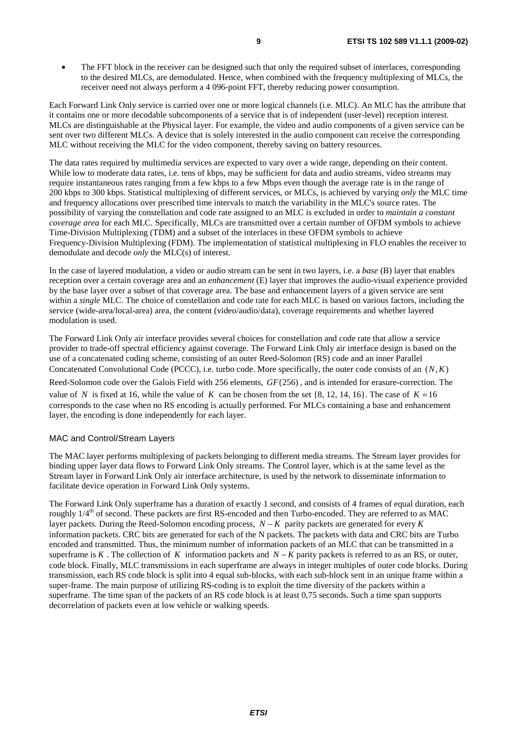The FFT block in the receiver can be designed such that only the required subset of interlaces, corresponding to the desired MLCs, are demodulated. Hence, when combined with the frequency multiplexing of MLCs, the receiver need not always perform a 4 096-point FFT, thereby reducing power consumption.

Each Forward Link Only service is carried over one or more logical channels (i.e. MLC). An MLC has the attribute that it contains one or more decodable subcomponents of a service that is of independent (user-level) reception interest. MLCs are distinguishable at the Physical layer. For example, the video and audio components of a given service can be sent over two different MLCs. A device that is solely interested in the audio component can receive the corresponding MLC without receiving the MLC for the video component, thereby saving on battery resources.

The data rates required by multimedia services are expected to vary over a wide range, depending on their content. While low to moderate data rates, i.e. tens of kbps, may be sufficient for data and audio streams, video streams may require instantaneous rates ranging from a few kbps to a few Mbps even though the average rate is in the range of 200 kbps to 300 kbps. Statistical multiplexing of different services, or MLCs, is achieved by varying *only* the MLC time and frequency allocations over prescribed time intervals to match the variability in the MLC's source rates. The possibility of varying the constellation and code rate assigned to an MLC is excluded in order to *maintain a constant coverage area* for each MLC. Specifically, MLCs are transmitted over a certain number of OFDM symbols to achieve Time-Division Multiplexing (TDM) and a subset of the interlaces in these OFDM symbols to achieve Frequency-Division Multiplexing (FDM). The implementation of statistical multiplexing in FLO enables the receiver to demodulate and decode *only* the MLC(s) of interest.

In the case of layered modulation, a video or audio stream can be sent in two layers, i.e. a *base* (B) layer that enables reception over a certain coverage area and an *enhancement* (E) layer that improves the audio-visual experience provided by the base layer over a subset of that coverage area. The base and enhancement layers of a given service are sent within a *single* MLC. The choice of constellation and code rate for each MLC is based on various factors, including the service (wide-area/local-area) area, the content (video/audio/data), coverage requirements and whether layered modulation is used.

The Forward Link Only air interface provides several choices for constellation and code rate that allow a service provider to trade-off spectral efficiency against coverage. The Forward Link Only air interface design is based on the use of a concatenated coding scheme, consisting of an outer Reed-Solomon (RS) code and an inner Parallel Concatenated Convolutional Code (PCCC), i.e. turbo code. More specifically, the outer code consists of an  $(N, K)$ Reed-Solomon code over the Galois Field with 256 elements, *GF*(256) , and is intended for erasure-correction. The value of *N* is fixed at 16, while the value of *K* can be chosen from the set  $\{8, 12, 14, 16\}$ . The case of  $K = 16$ corresponds to the case when no RS encoding is actually performed. For MLCs containing a base and enhancement layer, the encoding is done independently for each layer.

#### MAC and Control/Stream Layers

The MAC layer performs multiplexing of packets belonging to different media streams. The Stream layer provides for binding upper layer data flows to Forward Link Only streams. The Control layer, which is at the same level as the Stream layer in Forward Link Only air interface architecture, is used by the network to disseminate information to facilitate device operation in Forward Link Only systems.

The Forward Link Only superframe has a duration of exactly 1 second, and consists of 4 frames of equal duration, each roughly  $1/4^{th}$  of second. These packets are first RS-encoded and then Turbo-encoded. They are referred to as MAC layer packets. During the Reed-Solomon encoding process, *N* − *K* parity packets are generated for every *K* information packets. CRC bits are generated for each of the N packets. The packets with data and CRC bits are Turbo encoded and transmitted. Thus, the minimum number of information packets of an MLC that can be transmitted in a superframe is *K*. The collection of *K* information packets and  $N - K$  parity packets is referred to as an RS, or outer, code block. Finally, MLC transmissions in each superframe are always in integer multiples of outer code blocks. During transmission, each RS code block is split into 4 equal sub-blocks, with each sub-block sent in an unique frame within a super-frame. The main purpose of utilizing RS-coding is to exploit the time diversity of the packets within a superframe. The time span of the packets of an RS code block is at least 0,75 seconds. Such a time span supports decorrelation of packets even at low vehicle or walking speeds.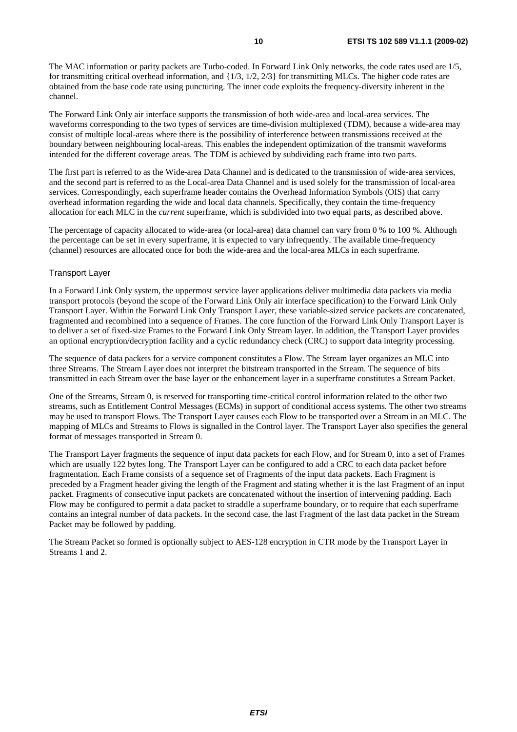The MAC information or parity packets are Turbo-coded. In Forward Link Only networks, the code rates used are 1/5, for transmitting critical overhead information, and  $\{1/3, 1/2, 2/3\}$  for transmitting MLCs. The higher code rates are obtained from the base code rate using puncturing. The inner code exploits the frequency-diversity inherent in the channel.

The Forward Link Only air interface supports the transmission of both wide-area and local-area services. The waveforms corresponding to the two types of services are time-division multiplexed (TDM), because a wide-area may consist of multiple local-areas where there is the possibility of interference between transmissions received at the boundary between neighbouring local-areas. This enables the independent optimization of the transmit waveforms intended for the different coverage areas. The TDM is achieved by subdividing each frame into two parts.

The first part is referred to as the Wide-area Data Channel and is dedicated to the transmission of wide-area services, and the second part is referred to as the Local-area Data Channel and is used solely for the transmission of local-area services. Correspondingly, each superframe header contains the Overhead Information Symbols (OIS) that carry overhead information regarding the wide and local data channels. Specifically, they contain the time-frequency allocation for each MLC in the *current* superframe, which is subdivided into two equal parts, as described above.

The percentage of capacity allocated to wide-area (or local-area) data channel can vary from 0 % to 100 %. Although the percentage can be set in every superframe, it is expected to vary infrequently. The available time-frequency (channel) resources are allocated once for both the wide-area and the local-area MLCs in each superframe.

### Transport Layer

In a Forward Link Only system, the uppermost service layer applications deliver multimedia data packets via media transport protocols (beyond the scope of the Forward Link Only air interface specification) to the Forward Link Only Transport Layer. Within the Forward Link Only Transport Layer, these variable-sized service packets are concatenated, fragmented and recombined into a sequence of Frames. The core function of the Forward Link Only Transport Layer is to deliver a set of fixed-size Frames to the Forward Link Only Stream layer. In addition, the Transport Layer provides an optional encryption/decryption facility and a cyclic redundancy check (CRC) to support data integrity processing.

The sequence of data packets for a service component constitutes a Flow. The Stream layer organizes an MLC into three Streams. The Stream Layer does not interpret the bitstream transported in the Stream. The sequence of bits transmitted in each Stream over the base layer or the enhancement layer in a superframe constitutes a Stream Packet.

One of the Streams, Stream 0, is reserved for transporting time-critical control information related to the other two streams, such as Entitlement Control Messages (ECMs) in support of conditional access systems. The other two streams may be used to transport Flows. The Transport Layer causes each Flow to be transported over a Stream in an MLC. The mapping of MLCs and Streams to Flows is signalled in the Control layer. The Transport Layer also specifies the general format of messages transported in Stream 0.

The Transport Layer fragments the sequence of input data packets for each Flow, and for Stream 0, into a set of Frames which are usually 122 bytes long. The Transport Layer can be configured to add a CRC to each data packet before fragmentation. Each Frame consists of a sequence set of Fragments of the input data packets. Each Fragment is preceded by a Fragment header giving the length of the Fragment and stating whether it is the last Fragment of an input packet. Fragments of consecutive input packets are concatenated without the insertion of intervening padding. Each Flow may be configured to permit a data packet to straddle a superframe boundary, or to require that each superframe contains an integral number of data packets. In the second case, the last Fragment of the last data packet in the Stream Packet may be followed by padding.

The Stream Packet so formed is optionally subject to AES-128 encryption in CTR mode by the Transport Layer in Streams 1 and 2.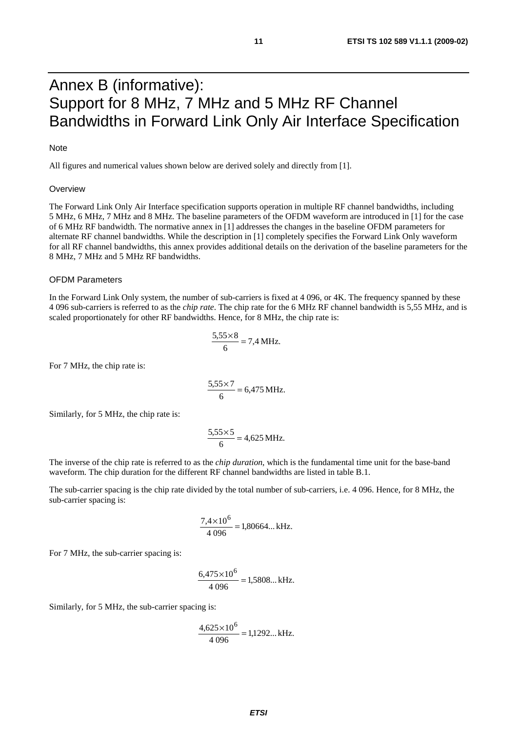## Annex B (informative): Support for 8 MHz, 7 MHz and 5 MHz RF Channel Bandwidths in Forward Link Only Air Interface Specification

### Note

All figures and numerical values shown below are derived solely and directly from [1].

#### **Overview**

The Forward Link Only Air Interface specification supports operation in multiple RF channel bandwidths, including 5 MHz, 6 MHz, 7 MHz and 8 MHz. The baseline parameters of the OFDM waveform are introduced in [1] for the case of 6 MHz RF bandwidth. The normative annex in [1] addresses the changes in the baseline OFDM parameters for alternate RF channel bandwidths. While the description in [1] completely specifies the Forward Link Only waveform for all RF channel bandwidths, this annex provides additional details on the derivation of the baseline parameters for the 8 MHz, 7 MHz and 5 MHz RF bandwidths.

#### OFDM Parameters

In the Forward Link Only system, the number of sub-carriers is fixed at 4 096, or 4K. The frequency spanned by these 4 096 sub-carriers is referred to as the *chip rate*. The chip rate for the 6 MHz RF channel bandwidth is 5,55 MHz, and is scaled proportionately for other RF bandwidths. Hence, for 8 MHz, the chip rate is:

$$
\frac{5,55\times8}{6} = 7,4 \text{ MHz}.
$$

For 7 MHz, the chip rate is:

$$
\frac{5,55 \times 7}{6} = 6,475 \text{ MHz}.
$$

Similarly, for 5 MHz, the chip rate is:

$$
\frac{5,55\times 5}{6} = 4,625 \text{ MHz}.
$$

The inverse of the chip rate is referred to as the *chip duration*, which is the fundamental time unit for the base-band waveform. The chip duration for the different RF channel bandwidths are listed in table B.1.

The sub-carrier spacing is the chip rate divided by the total number of sub-carriers, i.e. 4 096. Hence, for 8 MHz, the sub-carrier spacing is:

$$
\frac{7,4 \times 10^6}{4\ 096} = 1,80664... \text{ kHz.}
$$

For 7 MHz, the sub-carrier spacing is:

$$
\frac{6,475\times10^6}{4\ 096} = 1,5808... \text{ kHz.}
$$

Similarly, for 5 MHz, the sub-carrier spacing is:

$$
\frac{4,625\times10^6}{4\ 096} = 1,1292... \text{ kHz.}
$$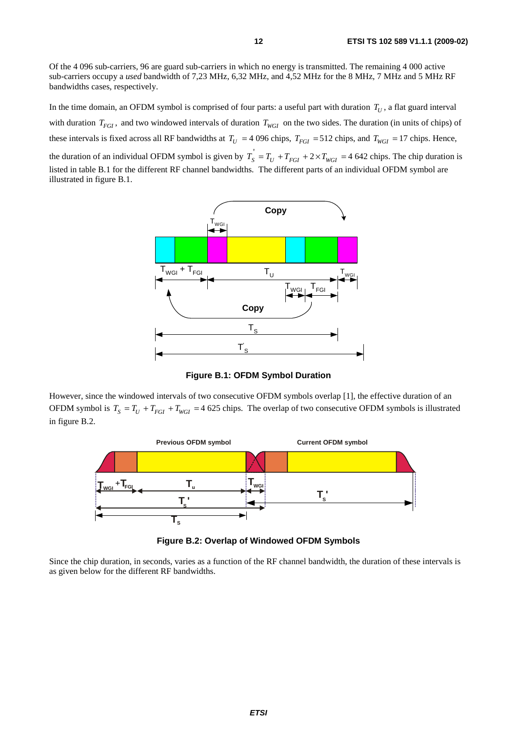Of the 4 096 sub-carriers, 96 are guard sub-carriers in which no energy is transmitted. The remaining 4 000 active sub-carriers occupy a *used* bandwidth of 7,23 MHz, 6,32 MHz, and 4,52 MHz for the 8 MHz, 7 MHz and 5 MHz RF bandwidths cases, respectively.

In the time domain, an OFDM symbol is comprised of four parts: a useful part with duration  $T_U$ , a flat guard interval with duration  $T_{FGI}$ , and two windowed intervals of duration  $T_{WGI}$  on the two sides. The duration (in units of chips) of these intervals is fixed across all RF bandwidths at  $T_U = 4096$  chips,  $T_{FGI} = 512$  chips, and  $T_{WGI} = 17$  chips. Hence, the duration of an individual OFDM symbol is given by  $T_s = T_U + T_{FGI} + 2 \times T_{WGI} = 4.642$  chips. The chip duration is listed in table B.1 for the different RF channel bandwidths. The different parts of an individual OFDM symbol are

illustrated in figure B.1.



**Figure B.1: OFDM Symbol Duration** 

However, since the windowed intervals of two consecutive OFDM symbols overlap [1], the effective duration of an OFDM symbol is  $T_s = T_U + T_{FGI} + T_{WGI} = 4625$  chips. The overlap of two consecutive OFDM symbols is illustrated in figure B.2.



**Figure B.2: Overlap of Windowed OFDM Symbols** 

Since the chip duration, in seconds, varies as a function of the RF channel bandwidth, the duration of these intervals is as given below for the different RF bandwidths.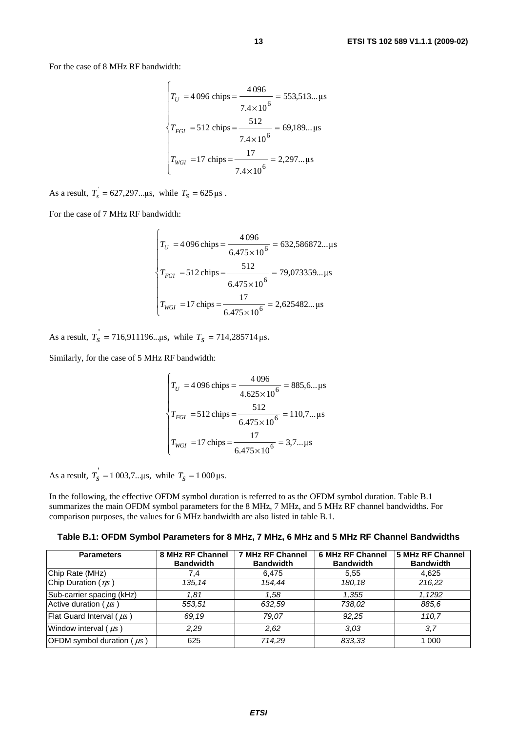For the case of 8 MHz RF bandwidth:

$$
T_U = 4096 \text{ chips} = \frac{4096}{7.4 \times 10^6} = 553,513... \text{ }\mu\text{s}
$$
\n
$$
T_{FGI} = 512 \text{ chips} = \frac{512}{7.4 \times 10^6} = 69,189... \text{ }\mu\text{s}
$$
\n
$$
T_{WGI} = 17 \text{ chips} = \frac{17}{7.4 \times 10^6} = 2,297... \text{ }\mu\text{s}
$$

As a result,  $T_s = 627,297... \mu s$ , while  $T_s = 625 \mu s$ .

 $\epsilon$ 

For the case of 7 MHz RF bandwidth:

$$
T_U = 4096 \text{ chips} = \frac{4096}{6.475 \times 10^6} = 632,586872... \text{ }\mu\text{s}
$$
\n
$$
T_{FGI} = 512 \text{ chips} = \frac{512}{6.475 \times 10^6} = 79,073359... \text{ }\mu\text{s}
$$
\n
$$
T_{WGI} = 17 \text{ chips} = \frac{17}{6.475 \times 10^6} = 2,625482... \text{ }\mu\text{s}
$$

As a result,  $T_s = 716,911196... \mu s$ , while  $T_s = 714,285714 \mu s$ .

 $\epsilon$ 

Similarly, for the case of 5 MHz RF bandwidth:

$$
\begin{cases}\nT_U = 4096 \text{ chips} = \frac{4096}{4.625 \times 10^6} = 885, 6... \text{ }\mu\text{s} \\
T_{FGI} = 512 \text{ chips} = \frac{512}{6.475 \times 10^6} = 110, 7... \text{ }\mu\text{s} \\
T_{WGI} = 17 \text{ chips} = \frac{17}{6.475 \times 10^6} = 3, 7... \text{ }\mu\text{s}\n\end{cases}
$$

As a result,  $T_s' = 1003,7... \mu s$ , while  $T_s = 1000 \mu s$ .

In the following, the effective OFDM symbol duration is referred to as the OFDM symbol duration. Table B.1 summarizes the main OFDM symbol parameters for the 8 MHz, 7 MHz, and 5 MHz RF channel bandwidths. For comparison purposes, the values for 6 MHz bandwidth are also listed in table B.1.

**Table B.1: OFDM Symbol Parameters for 8 MHz, 7 MHz, 6 MHz and 5 MHz RF Channel Bandwidths** 

| <b>Parameters</b>                | 8 MHz RF Channel<br><b>Bandwidth</b> | 7 MHz RF Channel<br><b>Bandwidth</b> | <b>6 MHz RF Channel</b><br><b>Bandwidth</b> | 5 MHz RF Channel<br><b>Bandwidth</b> |
|----------------------------------|--------------------------------------|--------------------------------------|---------------------------------------------|--------------------------------------|
| Chip Rate (MHz)                  | 7.4                                  | 6,475                                | 5.55                                        | 4.625                                |
| Chip Duration $(\eta_s)$         | 135.14                               | 154.44                               | 180.18                                      | 216,22                               |
| Sub-carrier spacing (kHz)        | 1.81                                 | 1.58                                 | 1.355                                       | 1.1292                               |
| Active duration ( $\mu s$ )      | 553,51                               | 632,59                               | 738.02                                      | 885.6                                |
| Flat Guard Interval ( $\mu s$ )  | 69.19                                | 79.07                                | 92.25                                       | 110.7                                |
| Window interval $(\mu s)$        | 2.29                                 | 2.62                                 | 3.03                                        | 3.7                                  |
| OFDM symbol duration ( $\mu s$ ) | 625                                  | 714.29                               | 833,33                                      | 1 000                                |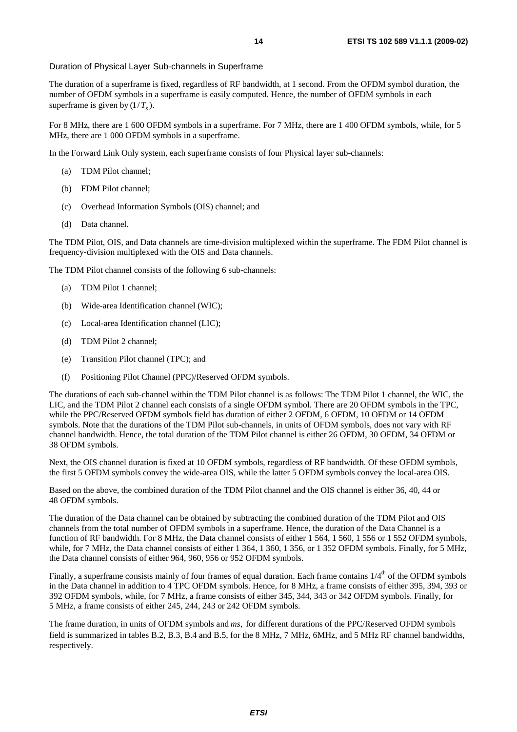#### Duration of Physical Layer Sub-channels in Superframe

The duration of a superframe is fixed, regardless of RF bandwidth, at 1 second. From the OFDM symbol duration, the number of OFDM symbols in a superframe is easily computed. Hence, the number of OFDM symbols in each superframe is given by  $(1/T<sub>s</sub>)$ .

For 8 MHz, there are 1 600 OFDM symbols in a superframe. For 7 MHz, there are 1 400 OFDM symbols, while, for 5 MHz, there are 1 000 OFDM symbols in a superframe.

In the Forward Link Only system, each superframe consists of four Physical layer sub-channels:

- (a) TDM Pilot channel;
- (b) FDM Pilot channel;
- (c) Overhead Information Symbols (OIS) channel; and
- (d) Data channel.

The TDM Pilot, OIS, and Data channels are time-division multiplexed within the superframe. The FDM Pilot channel is frequency-division multiplexed with the OIS and Data channels.

The TDM Pilot channel consists of the following 6 sub-channels:

- (a) TDM Pilot 1 channel;
- (b) Wide-area Identification channel (WIC);
- (c) Local-area Identification channel (LIC);
- (d) TDM Pilot 2 channel;
- (e) Transition Pilot channel (TPC); and
- (f) Positioning Pilot Channel (PPC)/Reserved OFDM symbols.

The durations of each sub-channel within the TDM Pilot channel is as follows: The TDM Pilot 1 channel, the WIC, the LIC, and the TDM Pilot 2 channel each consists of a single OFDM symbol. There are 20 OFDM symbols in the TPC, while the PPC/Reserved OFDM symbols field has duration of either 2 OFDM, 6 OFDM, 10 OFDM or 14 OFDM symbols. Note that the durations of the TDM Pilot sub-channels, in units of OFDM symbols, does not vary with RF channel bandwidth. Hence, the total duration of the TDM Pilot channel is either 26 OFDM, 30 OFDM, 34 OFDM or 38 OFDM symbols.

Next, the OIS channel duration is fixed at 10 OFDM symbols, regardless of RF bandwidth. Of these OFDM symbols, the first 5 OFDM symbols convey the wide-area OIS, while the latter 5 OFDM symbols convey the local-area OIS.

Based on the above, the combined duration of the TDM Pilot channel and the OIS channel is either 36, 40, 44 or 48 OFDM symbols.

The duration of the Data channel can be obtained by subtracting the combined duration of the TDM Pilot and OIS channels from the total number of OFDM symbols in a superframe. Hence, the duration of the Data Channel is a function of RF bandwidth. For 8 MHz, the Data channel consists of either 1 564, 1 560, 1 556 or 1 552 OFDM symbols, while, for 7 MHz, the Data channel consists of either 1 364, 1 360, 1 356, or 1 352 OFDM symbols. Finally, for 5 MHz, the Data channel consists of either 964, 960, 956 or 952 OFDM symbols.

Finally, a superframe consists mainly of four frames of equal duration. Each frame contains  $1/4<sup>th</sup>$  of the OFDM symbols in the Data channel in addition to 4 TPC OFDM symbols. Hence, for 8 MHz, a frame consists of either 395, 394, 393 or 392 OFDM symbols, while, for 7 MHz, a frame consists of either 345, 344, 343 or 342 OFDM symbols. Finally, for 5 MHz, a frame consists of either 245, 244, 243 or 242 OFDM symbols.

The frame duration, in units of OFDM symbols and *ms*, for different durations of the PPC/Reserved OFDM symbols field is summarized in tables B.2, B.3, B.4 and B.5, for the 8 MHz, 7 MHz, 6MHz, and 5 MHz RF channel bandwidths, respectively.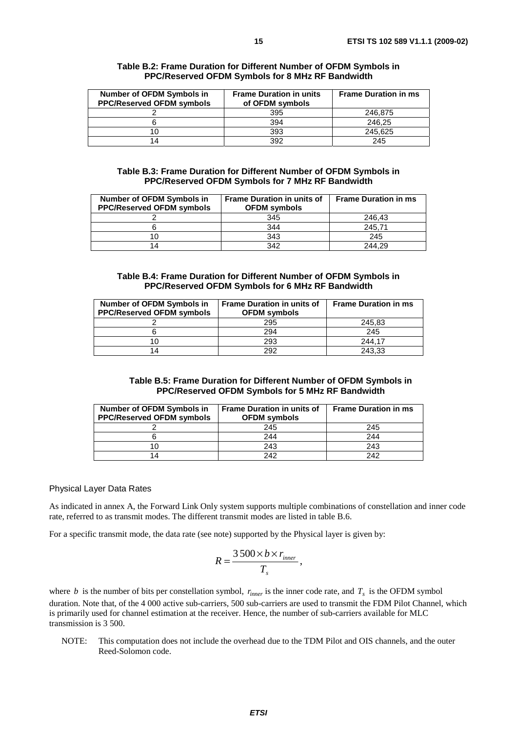| PPC/Reserved OFDM Symbols for 8 MHz RF Bandwidth |                                |                   |  |  |  |
|--------------------------------------------------|--------------------------------|-------------------|--|--|--|
| OFDM Symbols in                                  | <b>Frame Duration in units</b> | <b>Frame Dura</b> |  |  |  |
| vad OFDM symbols                                 | of OFDM symbols                |                   |  |  |  |

| Number of OFDM Symbols in<br><b>PPC/Reserved OFDM symbols</b> | <b>Frame Duration in units</b><br>of OFDM symbols | <b>Frame Duration in ms</b> |  |
|---------------------------------------------------------------|---------------------------------------------------|-----------------------------|--|
|                                                               | 395                                               | 246.875                     |  |
|                                                               | 394                                               | 246.25                      |  |
|                                                               | 393                                               | 245.625                     |  |
| 14                                                            | 392                                               | 245                         |  |

### **Table B.3: Frame Duration for Different Number of OFDM Symbols in PPC/Reserved OFDM Symbols for 7 MHz RF Bandwidth**

| <b>Number of OFDM Symbols in</b><br><b>PPC/Reserved OFDM symbols</b> | <b>Frame Duration in units of</b><br><b>OFDM</b> symbols | <b>Frame Duration in ms</b> |
|----------------------------------------------------------------------|----------------------------------------------------------|-----------------------------|
|                                                                      | 345                                                      | 246.43                      |
|                                                                      | 344                                                      | 245.71                      |
|                                                                      | 343                                                      | 245                         |
| 14                                                                   | 342                                                      | 244.29                      |

### **Table B.4: Frame Duration for Different Number of OFDM Symbols in PPC/Reserved OFDM Symbols for 6 MHz RF Bandwidth**

| <b>Number of OFDM Symbols in</b><br><b>PPC/Reserved OFDM symbols</b> | <b>Frame Duration in units of</b><br><b>OFDM</b> symbols | <b>Frame Duration in ms</b> |
|----------------------------------------------------------------------|----------------------------------------------------------|-----------------------------|
|                                                                      | 295                                                      | 245,83                      |
|                                                                      | 294                                                      | 245                         |
|                                                                      | 293                                                      | 244.17                      |
| 14                                                                   | 292                                                      | 243.33                      |

### **Table B.5: Frame Duration for Different Number of OFDM Symbols in PPC/Reserved OFDM Symbols for 5 MHz RF Bandwidth**

| Number of OFDM Symbols in<br><b>PPC/Reserved OFDM symbols</b> | <b>Frame Duration in units of</b><br><b>OFDM</b> symbols | <b>Frame Duration in ms</b> |
|---------------------------------------------------------------|----------------------------------------------------------|-----------------------------|
|                                                               | 245                                                      | 245                         |
|                                                               | 244                                                      | 244                         |
|                                                               | 243                                                      | 243                         |
|                                                               | 242                                                      | 242                         |

### Physical Layer Data Rates

As indicated in annex A, the Forward Link Only system supports multiple combinations of constellation and inner code rate, referred to as transmit modes. The different transmit modes are listed in table B.6.

For a specific transmit mode, the data rate (see note) supported by the Physical layer is given by:

$$
R=\frac{3500\times b\times r_{inner}}{T_s},
$$

where *b* is the number of bits per constellation symbol,  $r_{inner}$  is the inner code rate, and  $T_s$  is the OFDM symbol duration. Note that, of the 4 000 active sub-carriers, 500 sub-carriers are used to transmit the FDM Pilot Channel, which is primarily used for channel estimation at the receiver. Hence, the number of sub-carriers available for MLC transmission is 3 500.

NOTE: This computation does not include the overhead due to the TDM Pilot and OIS channels, and the outer Reed-Solomon code.

**Table B.2: Frame Duration for Different Number of OFDM Symbols in**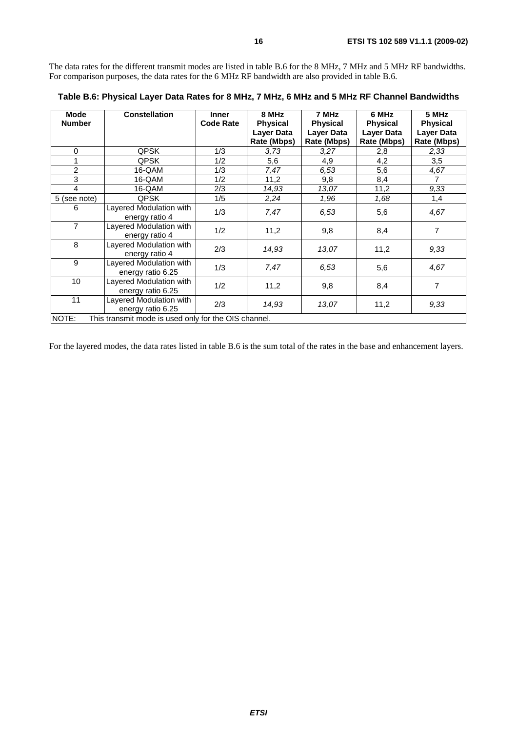The data rates for the different transmit modes are listed in table B.6 for the 8 MHz, 7 MHz and 5 MHz RF bandwidths. For comparison purposes, the data rates for the 6 MHz RF bandwidth are also provided in table B.6.

| Mode                                                          | <b>Constellation</b>    | <b>Inner</b>     | 8 MHz                            | 7 MHz                            | 6 MHz                            | 5 MHz                            |
|---------------------------------------------------------------|-------------------------|------------------|----------------------------------|----------------------------------|----------------------------------|----------------------------------|
| <b>Number</b>                                                 |                         | <b>Code Rate</b> | <b>Physical</b>                  | <b>Physical</b>                  | <b>Physical</b>                  | <b>Physical</b>                  |
|                                                               |                         |                  | <b>Layer Data</b><br>Rate (Mbps) | <b>Layer Data</b><br>Rate (Mbps) | <b>Layer Data</b><br>Rate (Mbps) | <b>Layer Data</b><br>Rate (Mbps) |
|                                                               |                         |                  |                                  |                                  |                                  |                                  |
| 0                                                             | QPSK                    | 1/3              | 3,73                             | 3,27                             | 2,8                              | 2,33                             |
| 1                                                             | <b>QPSK</b>             | 1/2              | 5,6                              | 4,9                              | 4,2                              | 3,5                              |
| $\overline{c}$                                                | 16-QAM                  | 1/3              | 7,47                             | 6,53                             | 5,6                              | 4,67                             |
| 3                                                             | 16-QAM                  | 1/2              | 11,2                             | 9,8                              | 8,4                              |                                  |
| 4                                                             | 16-QAM                  | 2/3              | 14,93                            | 13,07                            | 11,2                             | 9,33                             |
| 5 (see note)                                                  | <b>QPSK</b>             | 1/5              | 2,24                             | 1,96                             | 1,68                             | 1,4                              |
| 6                                                             | Layered Modulation with | 1/3              | 7,47                             | 6.53                             | 5,6                              | 4,67                             |
|                                                               | energy ratio 4          |                  |                                  |                                  |                                  |                                  |
| 7                                                             | Layered Modulation with | 1/2              | 11,2                             | 9,8                              | 8,4                              | 7                                |
|                                                               | energy ratio 4          |                  |                                  |                                  |                                  |                                  |
| 8                                                             | Layered Modulation with | 2/3              | 14,93                            | 13,07                            | 11,2                             | 9,33                             |
|                                                               | energy ratio 4          |                  |                                  |                                  |                                  |                                  |
| 9                                                             | Layered Modulation with | 1/3              | 7,47                             | 6.53                             | 5,6                              | 4,67                             |
|                                                               | energy ratio 6.25       |                  |                                  |                                  |                                  |                                  |
| 10                                                            | Layered Modulation with | 1/2              | 11,2                             | 9,8                              | 8,4                              | 7                                |
|                                                               | energy ratio 6.25       |                  |                                  |                                  |                                  |                                  |
| 11                                                            | Layered Modulation with | 2/3              | 14,93                            | 13,07                            |                                  | 9,33                             |
|                                                               | energy ratio 6.25       |                  |                                  |                                  | 11,2                             |                                  |
| NOTE:<br>This transmit mode is used only for the OIS channel. |                         |                  |                                  |                                  |                                  |                                  |

**Table B.6: Physical Layer Data Rates for 8 MHz, 7 MHz, 6 MHz and 5 MHz RF Channel Bandwidths** 

For the layered modes, the data rates listed in table B.6 is the sum total of the rates in the base and enhancement layers.